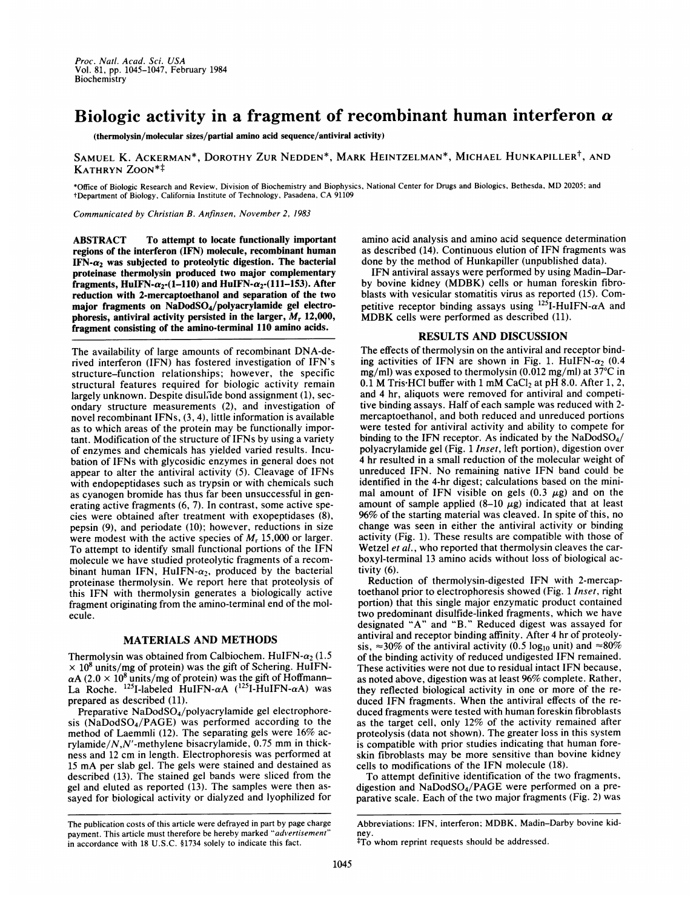## Biologic activity in a fragment of recombinant human interferon  $\alpha$

(thermolysin/molecular sizes/partial amino acid sequence/antiviral activity)

SAMUEL K. ACKERMAN\*, DOROTHY ZUR NEDDEN\*, MARK HEINTZELMAN\*, MICHAEL HUNKAPILLER<sup>†</sup>, AND KATHRYN ZOON\*<sup>‡</sup>

\*Office of Biologic Research and Review, Division of Biochemistry and Biophysics, National Center for Drugs and Biologics, Bethesda, MD 20205; and tDepartment of Biology, California Institute of Technology, Pasadena, CA <sup>91109</sup>

Communicated by Christian B. Anfinsen, November 2, 1983

ABSTRACT To attempt to locate functionally important regions of the interferon (IFN) molecule, recombinant human IFN- $\alpha_2$  was subjected to proteolytic digestion. The bacterial proteinase thermolysin produced two major complementary fragments, HuIFN- $\alpha_2$ -(1-110) and HuIFN- $\alpha_2$ -(111-153). After reduction with 2-mercaptoethanol and separation of the two major fragments on NaDodSO4/polyacrylamide gel electrophoresis, antiviral activity persisted in the larger,  $M_r$  12,000, fragment consisting of the amino-terminal 110 amino acids.

The availability of large amounts of recombinant DNA-derived interferon (IFN) has fostered investigation of IFN's structure-function relationships; however, the specific structural features required for biologic activity remain largely unknown. Despite disulfide bond assignment (1), secondary structure measurements (2), and investigation of novel recombinant IFNs, (3, 4), little information is available as to which areas of the protein may be functionally important. Modification of the structure of IFNs by using a variety of enzymes and chemicals has yielded varied results. Incubation of IFNs with glycosidic enzymes in general does not appear to alter the antiviral activity (5). Cleavage of IFNs with endopeptidases such as trypsin or with chemicals such as cyanogen bromide has thus far been unsuccessful in generating active fragments (6, 7). In contrast, some active species were obtained after treatment with exopeptidases (8), pepsin (9), and periodate (10); however, reductions in size were modest with the active species of  $M_r$  15,000 or larger. To attempt to identify small functional portions of the IFN molecule we have studied proteolytic fragments of a recombinant human IFN, HuIFN- $\alpha_2$ , produced by the bacterial proteinase thermolysin. We report here that proteolysis of this IFN with thermolysin generates a biologically active fragment originating from the amino-terminal end of the molecule.

## MATERIALS AND METHODS

Thermolysin was obtained from Calbiochem. HuIFN- $\alpha_2$  (1.5)  $\times$  10<sup>8</sup> units/mg of protein) was the gift of Schering. HuIFN- $\alpha$ A (2.0  $\times$  10<sup>8</sup> units/mg of protein) was the gift of Hoffmann– La Roche.  $^{125}$ I-labeled HuIFN- $\alpha$ A ( $^{125}$ I-HuIFN- $\alpha$ A) was prepared as described (11).

Preparative NaDodSO<sub>4</sub>/polyacrylamide gel electrophoresis (NaDodSO4/PAGE) was performed according to the method of Laemmli (12). The separating gels were 16% acrylamide/ $N$ , $N'$ -methylene bisacrylamide, 0.75 mm in thickness and <sup>12</sup> cm in length. Electrophoresis was performed at <sup>15</sup> mA per slab gel. The gels were stained and destained as described (13). The stained gel bands were sliced from the gel and eluted as reported (13). The samples were then assayed for biological activity or dialyzed and lyophilized for amino acid analysis and amino acid sequence determination as described (14). Continuous elution of IFN fragments was done by the method of Hunkapiller (unpublished data).

IFN antiviral assays were performed by using Madin-Darby bovine kidney (MDBK) cells or human foreskin fibroblasts with vesicular stomatitis virus as reported (15). Competitive receptor binding assays using  $125$ I-HuIFN- $\alpha$ A and MDBK cells were performed as described (11).

## RESULTS AND DISCUSSION

The effects of thermolysin on the antiviral and receptor binding activities of IFN are shown in Fig. 1. HuIFN- $\alpha_2$  (0.4)  $mg/ml$ ) was exposed to thermolysin (0.012 mg/ml) at 37 $\degree$ C in  $0.1$  M Tris HCl buffer with 1 mM CaCl<sub>2</sub> at pH 8.0. After 1, 2, and 4 hr, aliquots were removed for antiviral and competitive binding assays. Half of each sample was reduced with 2 mercaptoethanol, and both reduced and unreduced portions were tested for antiviral activity and ability to compete for binding to the IFN receptor. As indicated by the  $NaDodSO<sub>4</sub>/$ polyacrylamide gel (Fig. <sup>1</sup> Inset, left portion), digestion over 4 hr resulted in a small reduction of the molecular weight of unreduced IFN. No remaining native IFN band could be identified in the 4-hr digest; calculations based on the minimal amount of IFN visible on gels  $(0.3 \mu g)$  and on the amount of sample applied  $(8-10 \mu g)$  indicated that at least 96% of the starting material was cleaved. In spite of this, no change was seen in either the antiviral activity or binding activity (Fig. 1). These results are compatible with those of Wetzel et al., who reported that thermolysin cleaves the carboxyl-terminal 13 amino acids without loss of biological activity (6).

Reduction of thermolysin-digested IFN with 2-mercaptoethanol prior to electrophoresis showed (Fig. <sup>1</sup> Inset, right portion) that this single major enzymatic product contained two predominant disulfide-linked fragments, which we have designated "A" and "B." Reduced digest was assayed for antiviral and receptor binding affinity. After 4 hr of proteolysis,  $\approx$ 30% of the antiviral activity (0.5 log<sub>10</sub> unit) and  $\approx$ 80% of the binding activity of reduced undigested IFN remained. These activities were not due to residual intact IFN because, as noted above, digestion was at least 96% complete. Rather, they reflected biological activity in one or more of the reduced IFN fragments. When the antiviral effects of the reduced fragments were tested with human foreskin fibroblasts as the target cell, only 12% of the activity remained after proteolysis (data not shown). The greater loss in this system is compatible with prior studies indicating that human foreskin fibroblasts may be more sensitive than bovine kidney cells to modifications of the IFN molecule (18).

To attempt definitive identification of the two fragments, digestion and NaDodSO4/PAGE were performed on a preparative scale. Each of the two major fragments (Fig. 2) was

The publication costs of this article were defrayed in part by page charge payment. This article must therefore be hereby marked "advertisement' in accordance with 18 U.S.C. §1734 solely to indicate this fact.

Abbreviations: IFN, interferon; MDBK, Madin-Darby bovine kid-

ney. tTo whom reprint requests should be addressed.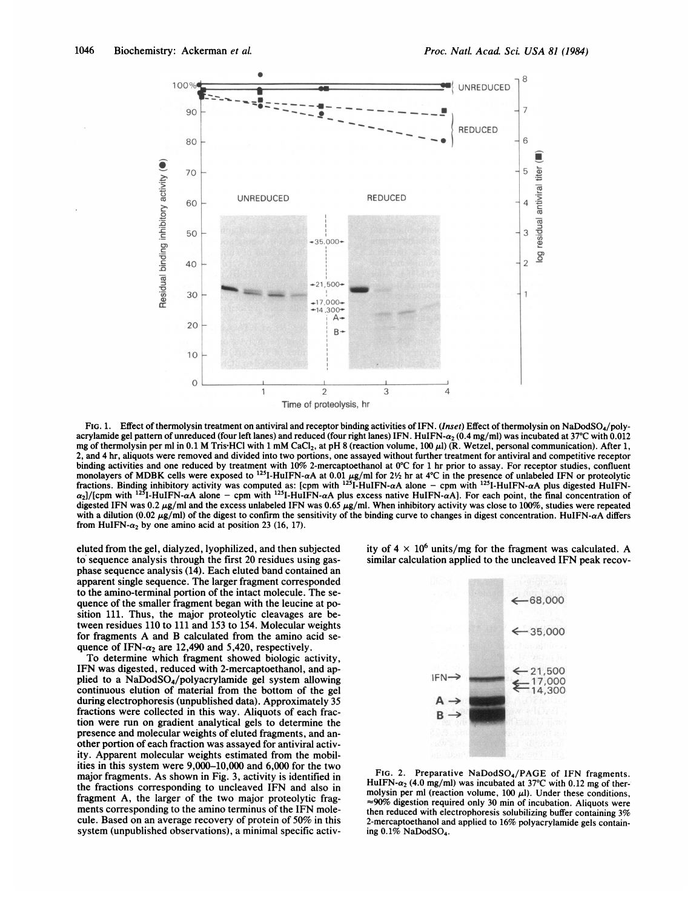

FIG. 1. Effect of thermolysin treatment on antiviral and receptor binding activities of IFN. (Inset) Effect of thermolysin on NaDodSO4/polyacrylamide gel pattern of unreduced (four left lanes) and reduced (four right lanes) IFN. HuIFN- $\alpha$ , (0.4 mg/ml) was incubated at 37°C with 0.012 mg of thermolysin per ml in 0.1 M Tris-HCl with 1 mM CaCl<sub>2</sub>, at pH 8 (reaction volume, 100  $\mu$ l) (R. Wetzel, personal communication). After 1, 2, and 4 hr, aliquots were removed and divided into two portions, one assayed without further treatment for antiviral and competitive receptor binding activities and one reduced by treatment with  $10\%$  2-mercaptoethanol at 0°C for 1 hr prior to assay. For receptor studies, confluent monolayers of MDBK cells were exposed to <sup>125</sup>I-HuIFN- $\alpha$ A at 0.01  $\mu$ g/ml for 2½ hr at 4°C in the presence of unlabeled IFN or proteolytic fractions. Binding inhibitory activity was computed as: [cpm with  $^{12}$ ]-HuIFN- $\alpha$ A alone – cpm with  $^{12}$ ]-HuIFN- $\alpha$ A plus digested HuIFN- $\alpha_2$ //(cpm with <sup>125</sup>I-HuIFN- $\alpha$ A alone – cpm with <sup>125</sup>I-HuIFN- $\alpha$ A plus excess native HuIFN- $\alpha$ A). For each point, the final concentration of digested IFN was 0.2  $\mu$ g/ml and the excess unlabeled IFN was 0.65  $\mu$ g/ml. When inhibitory activity was close to 100%, studies were repeated with a dilution (0.02  $\mu$ g/ml) of the digest to confirm the sensitivity of the binding curve to changes in digest concentration. HuIFN- $\alpha$ A differs from HuIFN- $\alpha_2$  by one amino acid at position 23 (16, 17).

eluted from the gel, dialyzed, lyophilized, and then subjected to sequence analysis through the first 20 residues using gasphase sequence analysis (14). Each eluted band contained an apparent single sequence. The larger fragment corresponded to the amino-terminal portion of the intact molecule. The sequence of the smaller fragment began with the leucine at position 111. Thus, the major proteolytic cleavages are between residues 110 to 111 and 153 to 154. Molecular weights for fragments A and B calculated from the amino acid sequence of IFN- $\alpha_2$  are 12,490 and 5,420, respectively.

To determine which fragment showed biologic activity, IFN was digested, reduced with 2-mercaptoethanol, and applied to a NaDodSO4/polyacrylamide gel system allowing continuous elution of material from the bottom of the gel during electrophoresis (unpublished data). Approximately 35 fractions were collected in this way. Aliquots of each fraction were run on gradient analytical gels to determine the presence and molecular weights of eluted fragments, and another portion of each fraction was assayed for antiviral activity. Apparent molecular weights estimated from the mobilities in this system were 9,000-10,000 and 6,000 for the two major fragments. As shown in Fig. 3, activity is identified in the fractions corresponding to uncleaved IFN and also in fragment A, the larger of the two major proteolytic fragments corresponding to the amino terminus of the IFN molecule. Based on an average recovery of protein of 50% in this system (unpublished observations), a minimal specific activity of  $4 \times 10^6$  units/mg for the fragment was calculated. A similar calculation applied to the uncleaved IFN peak recov-



FIG. 2. Preparative NaDodSO<sub>4</sub>/PAGE of IFN fragments. HuIFN- $\alpha_2$  (4.0 mg/ml) was incubated at 37°C with 0.12 mg of thermolysin per ml (reaction volume,  $100 \mu l$ ). Under these conditions,  $\approx$ 90% digestion required only 30 min of incubation. Aliquots were then reduced with electrophoresis solubilizing buffer containing 3% 2-mercaptoethanol and applied to 16% polyacrylamide gels containing 0.1% NaDodSO4.